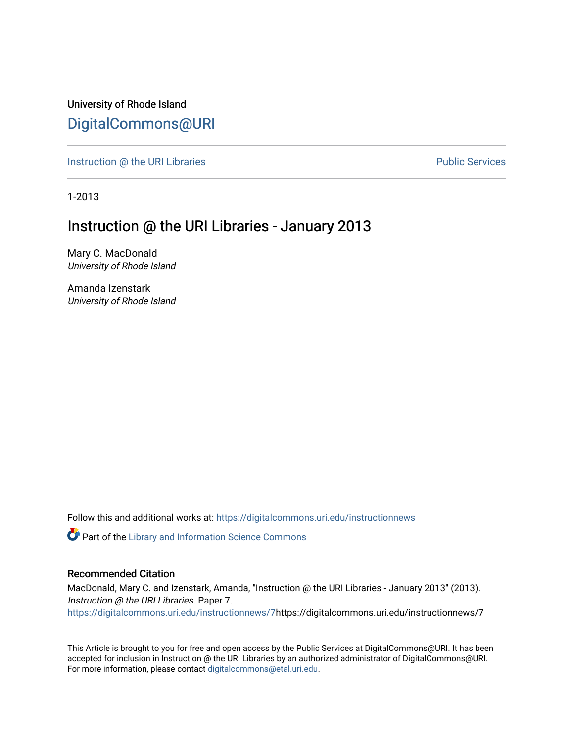University of Rhode Island [DigitalCommons@URI](https://digitalcommons.uri.edu/) 

[Instruction @ the URI Libraries](https://digitalcommons.uri.edu/instructionnews) **Public Services** Public Services

1-2013

#### Instruction @ the URI Libraries - January 2013

Mary C. MacDonald University of Rhode Island

Amanda Izenstark University of Rhode Island

Follow this and additional works at: [https://digitalcommons.uri.edu/instructionnews](https://digitalcommons.uri.edu/instructionnews?utm_source=digitalcommons.uri.edu%2Finstructionnews%2F7&utm_medium=PDF&utm_campaign=PDFCoverPages)

Part of the [Library and Information Science Commons](https://network.bepress.com/hgg/discipline/1018?utm_source=digitalcommons.uri.edu%2Finstructionnews%2F7&utm_medium=PDF&utm_campaign=PDFCoverPages) 

#### Recommended Citation

MacDonald, Mary C. and Izenstark, Amanda, "Instruction @ the URI Libraries - January 2013" (2013). Instruction @ the URI Libraries. Paper 7. [https://digitalcommons.uri.edu/instructionnews/7](https://digitalcommons.uri.edu/instructionnews/7?utm_source=digitalcommons.uri.edu%2Finstructionnews%2F7&utm_medium=PDF&utm_campaign=PDFCoverPages)https://digitalcommons.uri.edu/instructionnews/7

This Article is brought to you for free and open access by the Public Services at DigitalCommons@URI. It has been accepted for inclusion in Instruction @ the URI Libraries by an authorized administrator of DigitalCommons@URI. For more information, please contact [digitalcommons@etal.uri.edu](mailto:digitalcommons@etal.uri.edu).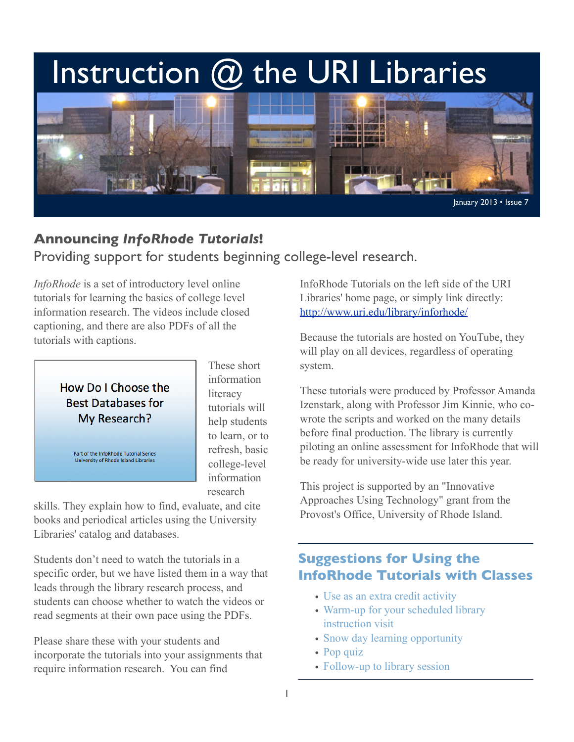# Instruction @ the URI Libraries



## **Announcing** *InfoRhode Tutorials***!** Providing support for students beginning college-level research.

*InfoRhode* is a set of introductory level online tutorials for learning the basics of college level information research. The videos include closed captioning, and there are also PDFs of all the tutorials with captions.



Part of the InfoRhode Tutorial Series University of Rhode Island Libraries

These short information literacy tutorials will help students to learn, or to refresh, basic college-level information research

skills. They explain how to find, evaluate, and cite books and periodical articles using the University Libraries' catalog and databases.

Students don't need to watch the tutorials in a specific order, but we have listed them in a way that leads through the library research process, and students can choose whether to watch the videos or read segments at their own pace using the PDFs.

Please share these with your students and incorporate the tutorials into your assignments that require information research. You can find

InfoRhode Tutorials on the left side of the URI Libraries' home page, or simply link directly: <http://www.uri.edu/library/inforhode/>

Because the tutorials are hosted on YouTube, they will play on all devices, regardless of operating system.

These tutorials were produced by Professor Amanda Izenstark, along with Professor Jim Kinnie, who cowrote the scripts and worked on the many details before final production. The library is currently piloting an online assessment for InfoRhode that will be ready for university-wide use later this year.

This project is supported by an "Innovative Approaches Using Technology" grant from the Provost's Office, University of Rhode Island.

### **Suggestions for Using the InfoRhode Tutorials with Classes**

- Use as an extra credit activity
- Warm-up for your scheduled library instruction visit
- Snow day learning opportunity
- Pop quiz
- Follow-up to library session